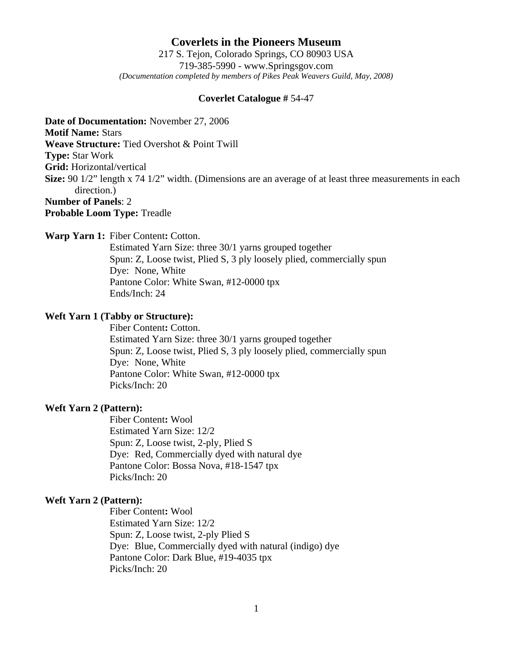**Coverlets in the Pioneers Museum** 217 S. Tejon, Colorado Springs, CO 80903 USA 719-385-5990 - www.Springsgov.com *(Documentation completed by members of Pikes Peak Weavers Guild, May, 2008)* 

#### **Coverlet Catalogue #** 54-47

**Date of Documentation:** November 27, 2006

**Motif Name:** Stars

**Weave Structure:** Tied Overshot & Point Twill

**Type:** Star Work

**Grid:** Horizontal/vertical

**Size:** 90 1/2" length x 74 1/2" width. (Dimensions are an average of at least three measurements in each direction.)

# **Number of Panels**: 2

**Probable Loom Type:** Treadle

**Warp Yarn 1:** Fiber Content**:** Cotton.

 Estimated Yarn Size: three 30/1 yarns grouped together Spun: Z, Loose twist, Plied S, 3 ply loosely plied, commercially spun Dye: None, White Pantone Color: White Swan, #12-0000 tpx Ends/Inch: 24

#### **Weft Yarn 1 (Tabby or Structure):**

 Fiber Content**:** Cotton. Estimated Yarn Size: three 30/1 yarns grouped together Spun: Z, Loose twist, Plied S, 3 ply loosely plied, commercially spun Dye: None, White Pantone Color: White Swan, #12-0000 tpx Picks/Inch: 20

### **Weft Yarn 2 (Pattern):**

 Fiber Content**:** Wool Estimated Yarn Size: 12/2 Spun: Z, Loose twist, 2-ply, Plied S Dye: Red, Commercially dyed with natural dye Pantone Color: Bossa Nova, #18-1547 tpx Picks/Inch: 20

## **Weft Yarn 2 (Pattern):**

 Fiber Content**:** Wool Estimated Yarn Size: 12/2 Spun: Z, Loose twist, 2-ply Plied S Dye: Blue, Commercially dyed with natural (indigo) dye Pantone Color: Dark Blue, #19-4035 tpx Picks/Inch: 20